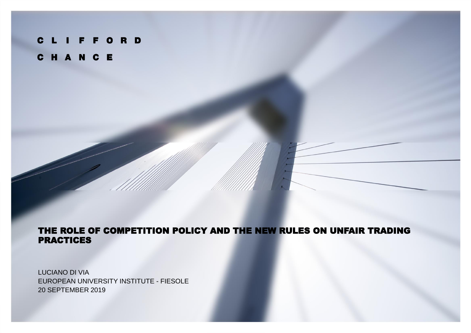# **CLIFFORD** CHANCE

### THE ROLE OF COMPETITION POLICY AND THE NEW RULES ON UNFAIR TRADING PRACTICES

LUCIANO DI VIA EUROPEAN UNIVERSITY INSTITUTE - FIESOLE 20 SEPTEMBER 2019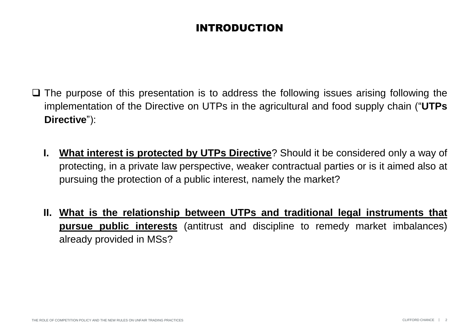# INTRODUCTION

- ❑ The purpose of this presentation is to address the following issues arising following the implementation of the Directive on UTPs in the agricultural and food supply chain ("**UTPs Directive**"):
	- **I. What interest is protected by UTPs Directive**? Should it be considered only a way of protecting, in a private law perspective, weaker contractual parties or is it aimed also at pursuing the protection of a public interest, namely the market?
	- **II. What is the relationship between UTPs and traditional legal instruments that pursue public interests** (antitrust and discipline to remedy market imbalances) already provided in MSs?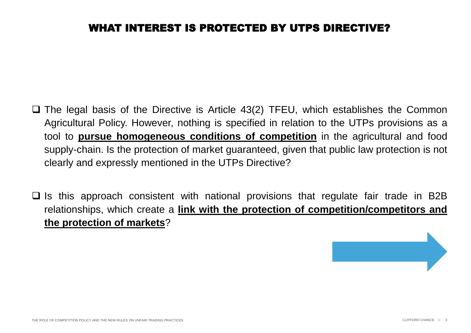- ❑ The legal basis of the Directive is Article 43(2) TFEU, which establishes the Common Agricultural Policy. However, nothing is specified in relation to the UTPs provisions as a tool to **pursue homogeneous conditions of competition** in the agricultural and food supply-chain. Is the protection of market guaranteed, given that public law protection is not clearly and expressly mentioned in the UTPs Directive?
- ❑ Is this approach consistent with national provisions that regulate fair trade in B2B relationships, which create a **link with the protection of competition/competitors and the protection of markets**?

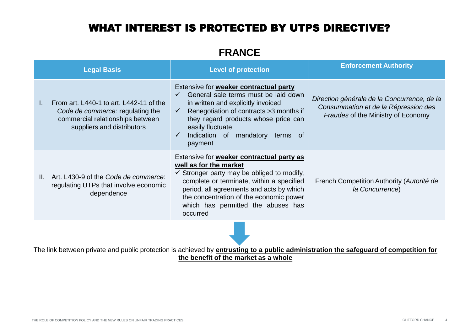### **FRANCE**

|    | <b>Legal Basis</b>                                                                                                                            | <b>Level of protection</b>                                                                                                                                                                                                                                                                                                | <b>Enforcement Authority</b>                                                                                                     |
|----|-----------------------------------------------------------------------------------------------------------------------------------------------|---------------------------------------------------------------------------------------------------------------------------------------------------------------------------------------------------------------------------------------------------------------------------------------------------------------------------|----------------------------------------------------------------------------------------------------------------------------------|
|    | From art. L440-1 to art. L442-11 of the<br>Code de commerce: regulating the<br>commercial relationships between<br>suppliers and distributors | Extensive for weaker contractual party<br>General sale terms must be laid down<br>in written and explicitly invoiced<br>Renegotiation of contracts > 3 months if<br>$\checkmark$<br>they regard products whose price can<br>easily fluctuate<br>Indication of mandatory<br>$\checkmark$<br>terms of<br>payment            | Direction générale de la Concurrence, de la<br>Consummation et de la Répression des<br><b>Fraudes of the Ministry of Economy</b> |
| Ш. | Art. L430-9 of the Code de commerce:<br>regulating UTPs that involve economic<br>dependence                                                   | Extensive for <b>weaker contractual party as</b><br>well as for the market<br>$\checkmark$ Stronger party may be obliged to modify,<br>complete or terminate, within a specified<br>period, all agreements and acts by which<br>the concentration of the economic power<br>which has permitted the abuses has<br>occurred | French Competition Authority (Autorité de<br>la Concurrence)                                                                     |
|    |                                                                                                                                               |                                                                                                                                                                                                                                                                                                                           |                                                                                                                                  |

The link between private and public protection is achieved by **entrusting to a public administration the safeguard of competition for the benefit of the market as a whole**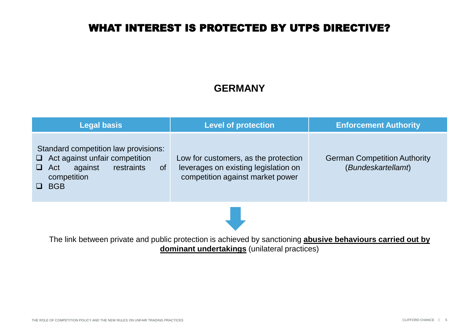## **GERMANY**

| <b>Legal basis</b>                                                                                                                               | <b>Level of protection</b>                                                                                       | <b>Enforcement Authority</b>                              |
|--------------------------------------------------------------------------------------------------------------------------------------------------|------------------------------------------------------------------------------------------------------------------|-----------------------------------------------------------|
| Standard competition law provisions:<br>$\Box$ Act against unfair competition<br>against<br>restraints<br>of<br>Act<br>competition<br><b>BGB</b> | Low for customers, as the protection<br>leverages on existing legislation on<br>competition against market power | <b>German Competition Authority</b><br>(Bundeskartellamt) |
|                                                                                                                                                  |                                                                                                                  |                                                           |

The link between private and public protection is achieved by sanctioning **abusive behaviours carried out by dominant undertakings** (unilateral practices)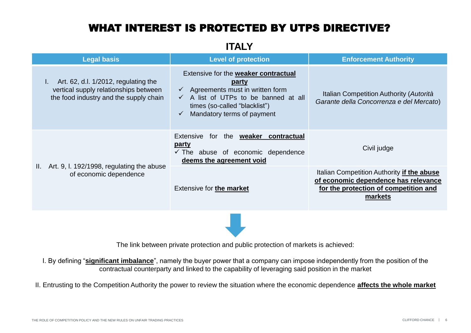**ITALY**

| <b>Legal basis</b>                                                                                                            | <b>Level of protection</b>                                                                                                                                                                                | <b>Enforcement Authority</b>                                                                                                           |
|-------------------------------------------------------------------------------------------------------------------------------|-----------------------------------------------------------------------------------------------------------------------------------------------------------------------------------------------------------|----------------------------------------------------------------------------------------------------------------------------------------|
| Art. 62, d.l. 1/2012, regulating the<br>L.<br>vertical supply relationships between<br>the food industry and the supply chain | Extensive for the weaker contractual<br><u>party</u><br>$\checkmark$ Agreements must in written form<br>A list of UTPs to be banned at all<br>times (so-called "blacklist")<br>Mandatory terms of payment | Italian Competition Authority (Autorità<br>Garante della Concorrenza e del Mercato)                                                    |
|                                                                                                                               | Extensive<br>for the <b>weaker contractual</b><br><u>party</u><br>$\checkmark$ The abuse of economic dependence<br>deems the agreement void                                                               | Civil judge                                                                                                                            |
| II. Art. 9, I. 192/1998, regulating the abuse<br>of economic dependence                                                       | Extensive for the market                                                                                                                                                                                  | Italian Competition Authority if the abuse<br>of economic dependence has relevance<br>for the protection of competition and<br>markets |
|                                                                                                                               |                                                                                                                                                                                                           |                                                                                                                                        |

The link between private protection and public protection of markets is achieved:

I. By defining "**significant imbalance**", namely the buyer power that a company can impose independently from the position of the contractual counterparty and linked to the capability of leveraging said position in the market

II. Entrusting to the Competition Authority the power to review the situation where the economic dependence **affects the whole market**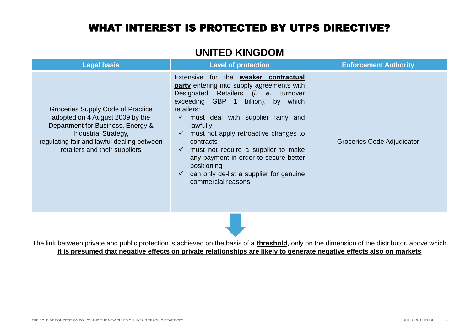### **UNITED KINGDOM**

| <b>Legal basis</b>                                                                                                                                                                                                      | <b>Level of protection</b>                                                                                                                                                                                                                                                                                                                                                                                                                                                    | <b>Enforcement Authority</b> |  |  |
|-------------------------------------------------------------------------------------------------------------------------------------------------------------------------------------------------------------------------|-------------------------------------------------------------------------------------------------------------------------------------------------------------------------------------------------------------------------------------------------------------------------------------------------------------------------------------------------------------------------------------------------------------------------------------------------------------------------------|------------------------------|--|--|
| Groceries Supply Code of Practice<br>adopted on 4 August 2009 by the<br>Department for Business, Energy &<br><b>Industrial Strategy,</b><br>regulating fair and lawful dealing between<br>retailers and their suppliers | Extensive for the <b>weaker contractual</b><br>party entering into supply agreements with<br>Designated Retailers (i. e. turnover<br>exceeding GBP 1 billion), by which<br>retailers:<br>must deal with supplier fairly and<br>$\checkmark$<br>lawfully<br>must not apply retroactive changes to<br>contracts<br>must not require a supplier to make<br>any payment in order to secure better<br>positioning<br>can only de-list a supplier for genuine<br>commercial reasons | Groceries Code Adjudicator   |  |  |
|                                                                                                                                                                                                                         |                                                                                                                                                                                                                                                                                                                                                                                                                                                                               |                              |  |  |

The link between private and public protection is achieved on the basis of a **threshold**, only on the dimension of the distributor, above which **it is presumed that negative effects on private relationships are likely to generate negative effects also on markets**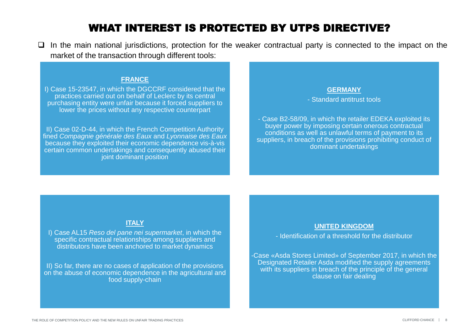❑ In the main national jurisdictions, protection for the weaker contractual party is connected to the impact on the market of the transaction through different tools:

#### **FRANCE**

I) Case 15-23547, in which the DGCCRF considered that the practices carried out on behalf of Leclerc by its central purchasing entity were unfair because it forced suppliers to lower the prices without any respective counterpart

II) Case 02-D-44, in which the French Competition Authority fined *Compagnie générale des Eaux* and *Lyonnaise des Eaux* because they exploited their economic dependence vis-à-vis certain common undertakings and consequently abused their joint dominant position

#### **GERMANY**

- Standard antitrust tools

- Case B2-58/09, in which the retailer EDEKA exploited its buyer power by imposing certain onerous contractual conditions as well as unlawful terms of payment to its suppliers, in breach of the provisions prohibiting conduct of dominant undertakings

#### **ITALY**

I) Case AL15 *Reso del pane nei supermarket*, in which the specific contractual relationships among suppliers and distributors have been anchored to market dynamics

II) So far, there are no cases of application of the provisions on the abuse of economic dependence in the agricultural and food supply-chain

#### **UNITED KINGDOM**

- Identification of a threshold for the distributor

-Case «Asda Stores Limited» of September 2017, in which the Designated Retailer Asda modified the supply agreements with its suppliers in breach of the principle of the general clause on fair dealing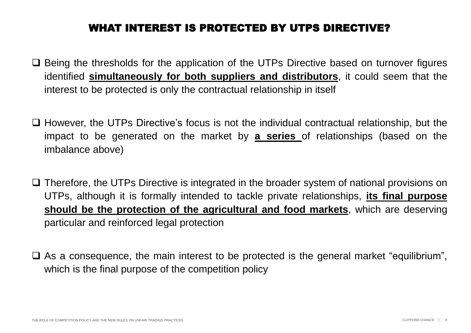- ❑ Being the thresholds for the application of the UTPs Directive based on turnover figures identified **simultaneously for both suppliers and distributors**, it could seem that the interest to be protected is only the contractual relationship in itself
- ❑ However, the UTPs Directive's focus is not the individual contractual relationship, but the impact to be generated on the market by **a series** of relationships (based on the imbalance above)
- ❑ Therefore, the UTPs Directive is integrated in the broader system of national provisions on UTPs, although it is formally intended to tackle private relationships, **its final purpose should be the protection of the agricultural and food markets**, which are deserving particular and reinforced legal protection
- ❑ As a consequence, the main interest to be protected is the general market "equilibrium", which is the final purpose of the competition policy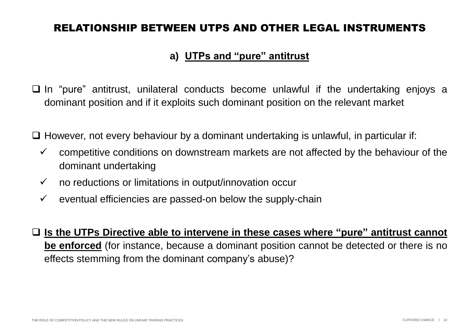### **a) UTPs and "pure" antitrust**

❑ In "pure" antitrust, unilateral conducts become unlawful if the undertaking enjoys a dominant position and if it exploits such dominant position on the relevant market

❑ However, not every behaviour by a dominant undertaking is unlawful, in particular if:

- $\checkmark$  competitive conditions on downstream markets are not affected by the behaviour of the dominant undertaking
- $\checkmark$  no reductions or limitations in output/innovation occur
- $\checkmark$  eventual efficiencies are passed-on below the supply-chain
- ❑ **Is the UTPs Directive able to intervene in these cases where "pure" antitrust cannot be enforced** (for instance, because a dominant position cannot be detected or there is no effects stemming from the dominant company's abuse)?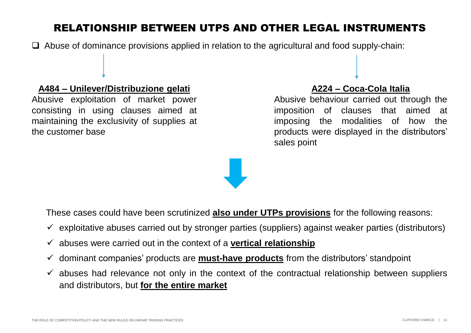❑ Abuse of dominance provisions applied in relation to the agricultural and food supply-chain:

### **A484 – Unilever/Distribuzione gelati**

Abusive exploitation of market power consisting in using clauses aimed at maintaining the exclusivity of supplies at the customer base

### **A224 – Coca-Cola Italia**

Abusive behaviour carried out through the imposition of clauses that aimed at imposing the modalities of how the products were displayed in the distributors' sales point



These cases could have been scrutinized **also under UTPs provisions** for the following reasons:

- $\checkmark$  exploitative abuses carried out by stronger parties (suppliers) against weaker parties (distributors)
- ✓ abuses were carried out in the context of a **vertical relationship**
- ✓ dominant companies' products are **must-have products** from the distributors' standpoint
- $\checkmark$  abuses had relevance not only in the context of the contractual relationship between suppliers and distributors, but **for the entire market**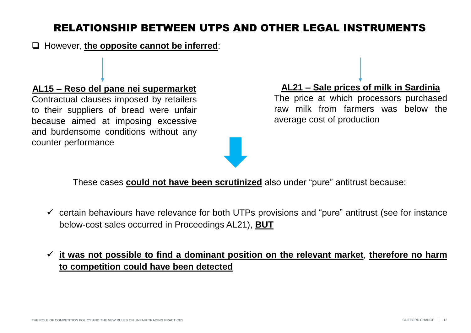❑ However, **the opposite cannot be inferred**:

#### **AL15 – Reso del pane nei supermarket**

Contractual clauses imposed by retailers to their suppliers of bread were unfair because aimed at imposing excessive and burdensome conditions without any counter performance



### **AL21 – Sale prices of milk in Sardinia**

The price at which processors purchased raw milk from farmers was below the average cost of production

These cases **could not have been scrutinized** also under "pure" antitrust because:

 $\checkmark$  certain behaviours have relevance for both UTPs provisions and "pure" antitrust (see for instance below-cost sales occurred in Proceedings AL21), **BUT**

### ✓ **it was not possible to find a dominant position on the relevant market**, **therefore no harm to competition could have been detected**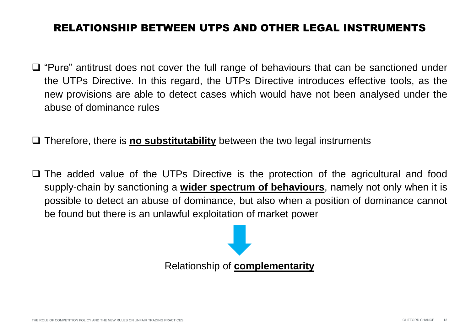- ❑ "Pure" antitrust does not cover the full range of behaviours that can be sanctioned under the UTPs Directive. In this regard, the UTPs Directive introduces effective tools, as the new provisions are able to detect cases which would have not been analysed under the abuse of dominance rules
- ❑ Therefore, there is **no substitutability** between the two legal instruments
- ❑ The added value of the UTPs Directive is the protection of the agricultural and food supply-chain by sanctioning a **wider spectrum of behaviours**, namely not only when it is possible to detect an abuse of dominance, but also when a position of dominance cannot be found but there is an unlawful exploitation of market power

Relationship of **complementarity**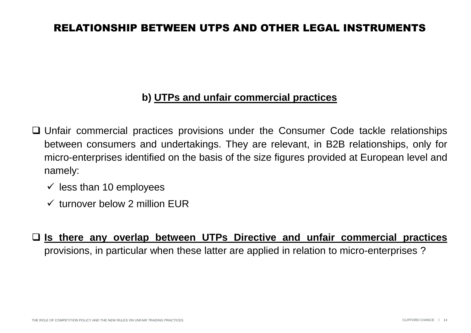### **b) UTPs and unfair commercial practices**

- ❑ Unfair commercial practices provisions under the Consumer Code tackle relationships between consumers and undertakings. They are relevant, in B2B relationships, only for micro-enterprises identified on the basis of the size figures provided at European level and namely:
	- $\checkmark$  less than 10 employees
	- $\checkmark$  turnover below 2 million FUR
- ❑ **Is there any overlap between UTPs Directive and unfair commercial practices** provisions, in particular when these latter are applied in relation to micro-enterprises ?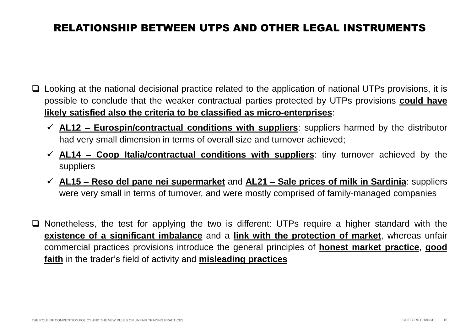- ❑ Looking at the national decisional practice related to the application of national UTPs provisions, it is possible to conclude that the weaker contractual parties protected by UTPs provisions **could have likely satisfied also the criteria to be classified as micro-enterprises**:
	- ✓ **AL12 – Eurospin/contractual conditions with suppliers**: suppliers harmed by the distributor had very small dimension in terms of overall size and turnover achieved;
	- ✓ **AL14 – Coop Italia/contractual conditions with suppliers**: tiny turnover achieved by the suppliers
	- ✓ **AL15 – Reso del pane nei supermarket** and **AL21 – Sale prices of milk in Sardinia**: suppliers were very small in terms of turnover, and were mostly comprised of family-managed companies
- ❑ Nonetheless, the test for applying the two is different: UTPs require a higher standard with the **existence of a significant imbalance** and a **link with the protection of market**, whereas unfair commercial practices provisions introduce the general principles of **honest market practice**, **good faith** in the trader's field of activity and **misleading practices**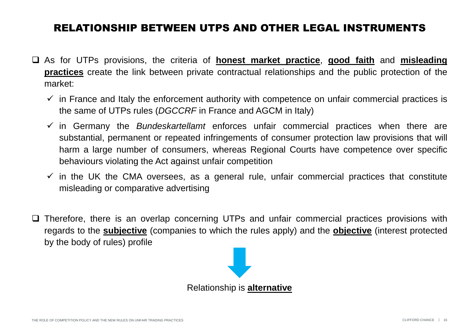- ❑ As for UTPs provisions, the criteria of **honest market practice**, **good faith** and **misleading practices** create the link between private contractual relationships and the public protection of the market:
	- $\checkmark$  in France and Italy the enforcement authority with competence on unfair commercial practices is the same of UTPs rules (*DGCCRF* in France and AGCM in Italy)
	- ✓ in Germany the *Bundeskartellamt* enforces unfair commercial practices when there are substantial, permanent or repeated infringements of consumer protection law provisions that will harm a large number of consumers, whereas Regional Courts have competence over specific behaviours violating the Act against unfair competition
	- $\checkmark$  in the UK the CMA oversees, as a general rule, unfair commercial practices that constitute misleading or comparative advertising
- ❑ Therefore, there is an overlap concerning UTPs and unfair commercial practices provisions with regards to the **subjective** (companies to which the rules apply) and the **objective** (interest protected by the body of rules) profile

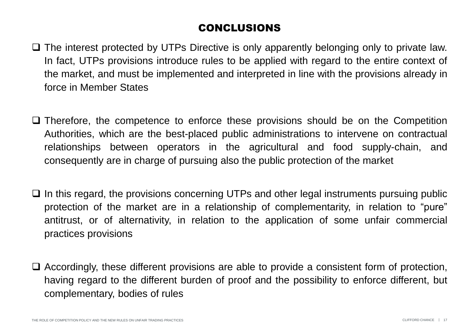# CONCLUSIONS

- ❑ The interest protected by UTPs Directive is only apparently belonging only to private law. In fact, UTPs provisions introduce rules to be applied with regard to the entire context of the market, and must be implemented and interpreted in line with the provisions already in force in Member States
- ❑ Therefore, the competence to enforce these provisions should be on the Competition Authorities, which are the best-placed public administrations to intervene on contractual relationships between operators in the agricultural and food supply-chain, and consequently are in charge of pursuing also the public protection of the market
- ❑ In this regard, the provisions concerning UTPs and other legal instruments pursuing public protection of the market are in a relationship of complementarity, in relation to "pure" antitrust, or of alternativity, in relation to the application of some unfair commercial practices provisions
- ❑ Accordingly, these different provisions are able to provide a consistent form of protection, having regard to the different burden of proof and the possibility to enforce different, but complementary, bodies of rules